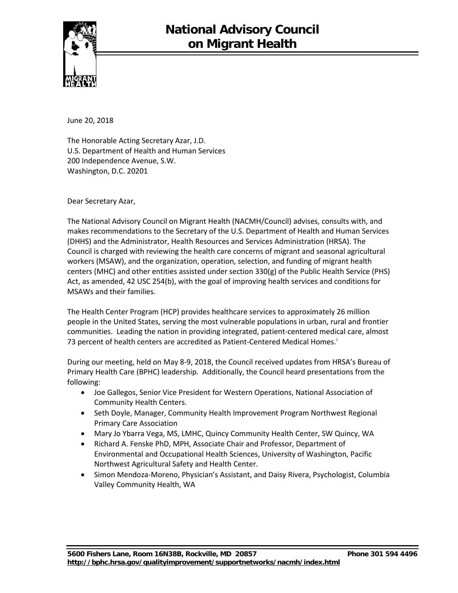

June 20, 2018

The Honorable Acting Secretary Azar, J.D. U.S. Department of Health and Human Services 200 Independence Avenue, S.W. Washington, D.C. 20201

Dear Secretary Azar,

The National Advisory Council on Migrant Health (NACMH/Council) advises, consults with, and makes recommendations to the Secretary of the U.S. Department of Health and Human Services (DHHS) and the Administrator, Health Resources and Services Administration (HRSA). The Council is charged with reviewing the health care concerns of migrant and seasonal agricultural workers (MSAW), and the organization, operation, selection, and funding of migrant health centers (MHC) and other entities assisted under section 330(g) of the Public Health Service (PHS) Act, as amended, 42 USC 254(b), with the goal of improving health services and conditions for MSAWs and their families.

The Health Center Program (HCP) provides healthcare services to approximately 26 million people in the United States, serving the most vulnerable populations in urban, rural and frontier communities. Leading the nation in providing integrated, patient-centered medical care, almost 73 percent of health centers are accred[i](#page-1-0)ted as Patient-Centered Medical Homes.<sup>i</sup>

During our meeting, held on May 8-9, 2018, the Council received updates from HRSA's Bureau of Primary Health Care (BPHC) leadership. Additionally, the Council heard presentations from the following:

- Joe Gallegos, Senior Vice President for Western Operations, National Association of Community Health Centers.
- Seth Doyle, Manager, Community Health Improvement Program Northwest Regional Primary Care Association
- Mary Jo Ybarra Vega, MS, LMHC, Quincy Community Health Center, SW Quincy, WA
- Richard A. Fenske PhD, MPH, Associate Chair and Professor, Department of Environmental and Occupational Health Sciences, University of Washington, Pacific Northwest Agricultural Safety and Health Center.
- Simon Mendoza-Moreno, Physician's Assistant, and Daisy Rivera, Psychologist, Columbia Valley Community Health, WA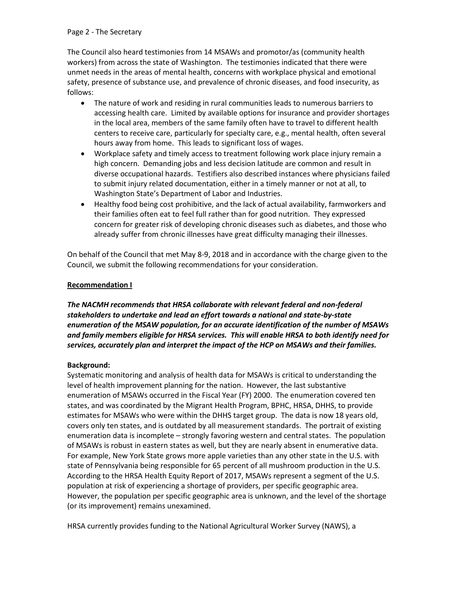## Page 2 - The Secretary

<span id="page-1-1"></span><span id="page-1-0"></span>The Council also heard testimonies from 14 MSAWs and promotor/as (community health workers) from across the state of Washington. The testimonies indicated that there were unmet needs in the areas of mental health, concerns with workplace physical and emotional safety, presence of substance use, and prevalence of chronic diseases, and food insecurity, as follows:

- <span id="page-1-2"></span>• The nature of work and residing in rural communities leads to numerous barriers to accessing health care. Limited by available options for insurance and provider shortages in the local area, members of the same family often have to travel to different health centers to receive care, particularly for specialty care, e.g., mental health, often several hours away from home. This leads to significant loss of wages.
- <span id="page-1-5"></span><span id="page-1-4"></span><span id="page-1-3"></span>• Workplace safety and timely access to treatment following work place injury remain a high concern. Demanding jobs and less decision latitude are common and result in diverse occupational hazards. Testifiers also described instances where physicians failed to submit injury related documentation, either in a timely manner or not at all, to Washington State's Department of Labor and Industries.
- <span id="page-1-7"></span><span id="page-1-6"></span>• Healthy food being cost prohibitive, and the lack of actual availability, farmworkers and their families often eat to feel full rather than for good nutrition. They expressed concern for greater risk of developing chronic diseases such as diabetes, and those who already suffer from chronic illnesses have great difficulty managing their illnesses.

<span id="page-1-9"></span><span id="page-1-8"></span>On behalf of the Council that met May 8-9, 2018 and in accordance with the charge given to the Council, we submit the following recommendations for your consideration.

## <span id="page-1-11"></span><span id="page-1-10"></span>**Recommendation I**

<span id="page-1-13"></span><span id="page-1-12"></span>*The NACMH recommends that HRSA collaborate with relevant federal and non-federal stakeholders to undertake and lead an effort towards a national and state-by-state enumeration of the MSAW population, for an accurate identification of the number of MSAWs and family members eligible for HRSA services. This will enable HRSA to both identify need for services, accurately plan and interpret the impact of the HCP on MSAWs and their families.* 

## **Background:**

Systematic monitoring and analysis of health data for MSAWs is critical to understanding the level of health improvement planning for the nation. However, the last substantive enumeration of MSAWs occurred in the Fiscal Year (FY) 2000. The enumeration covered ten states, and was coordinated by the Migrant Health Program, BPHC, HRSA, DHHS, to provide estimates for MSAWs who were within the DHHS target group. The data is now 18 years old, covers only ten states, and is outdated by all measurement standards. The portrait of existing enumeration data is incomplete – strongly favoring western and central states. The population of MSAWs is robust in eastern states as well, but they are nearly absent in enumerative data. For example, New York State grows more apple varieties than any other state in the U.S. with state of Pennsylvania being responsible for 65 percent of all mushroom production in the U.S. According to the HRSA Health Equity Report of 2017, MSAWs represent a segment of the U.S. population at risk of experiencing a shortage of providers, per specific geographic area. However, the population per specific geographic area is unknown, and the level of the shortage (or its improvement) remains unexamined.

HRSA currently provides funding to the National Agricultural Worker Survey (NAWS), a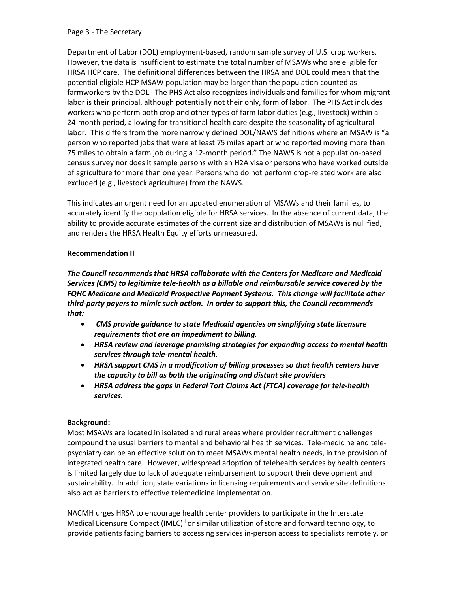#### Page 3 - The Secretary

Department of Labor (DOL) employment-based, random sample survey of U.S. crop workers. However, the data is insufficient to estimate the total number of MSAWs who are eligible for HRSA HCP care. The definitional differences between the HRSA and DOL could mean that the potential eligible HCP MSAW population may be larger than the population counted as farmworkers by the DOL. The PHS Act also recognizes individuals and families for whom migrant labor is their principal, although potentially not their only, form of labor. The PHS Act includes workers who perform both crop and other types of farm labor duties (e.g., livestock) within a 24-month period, allowing for transitional health care despite the seasonality of agricultural labor. This differs from the more narrowly defined DOL/NAWS definitions where an MSAW is "a person who reported jobs that were at least 75 miles apart or who reported moving more than 75 miles to obtain a farm job during a 12-month period." The NAWS is not a population-based census survey nor does it sample persons with an H2A visa or persons who have worked outside of agriculture for more than one year. Persons who do not perform crop-related work are also excluded (e.g., livestock agriculture) from the NAWS.

This indicates an urgent need for an updated enumeration of MSAWs and their families, to accurately identify the population eligible for HRSA services. In the absence of current data, the ability to provide accurate estimates of the current size and distribution of MSAWs is nullified, and renders the HRSA Health Equity efforts unmeasured.

## **Recommendation II**

*The Council recommends that HRSA collaborate with the Centers for Medicare and Medicaid Services (CMS) to legitimize tele-health as a billable and reimbursable service covered by the FQHC Medicare and Medicaid Prospective Payment Systems. This change will facilitate other third-party payers to mimic such action. In order to support this, the Council recommends that:*

- *CMS provide guidance to state Medicaid agencies on simplifying state licensure requirements that are an impediment to billing.*
- *HRSA review and leverage promising strategies for expanding access to mental health services through tele-mental health.*
- *HRSA support CMS in a modification of billing processes so that health centers have the capacity to bill as both the originating and distant site providers*
- *HRSA address the gaps in Federal Tort Claims Act (FTCA) coverage for tele-health services.*

# **Background:**

Most MSAWs are located in isolated and rural areas where provider recruitment challenges compound the usual barriers to mental and behavioral health services. Tele-medicine and telepsychiatry can be an effective solution to meet MSAWs mental health needs, in the provision of integrated health care. However, widespread adoption of telehealth services by health centers is limited largely due to lack of adequate reimbursement to support their development and sustainability. In addition, state variations in licensing requirements and service site definitions also act as barriers to effective telemedicine implementation.

NACMH urges HRSA to encourage health center providers to participate in the Interstate Medical Licensure Compact (IMLC)<sup>[ii](#page-1-1)</sup> or similar utilization of store and forward technology, to provide patients facing barriers to accessing services in-person access to specialists remotely, or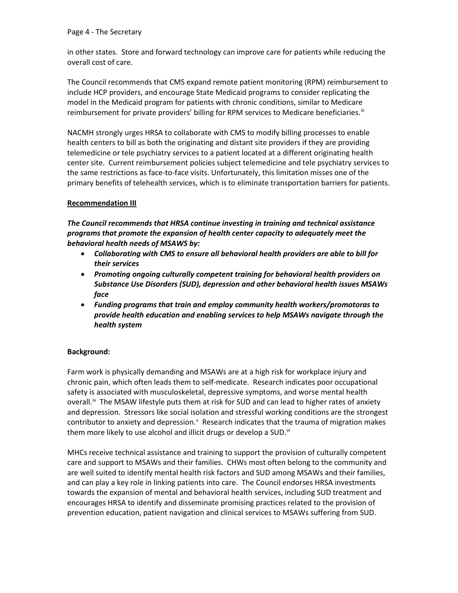in other states. Store and forward technology can improve care for patients while reducing the overall cost of care.

The Council recommends that CMS expand remote patient monitoring (RPM) reimbursement to include HCP providers, and encourage State Medicaid programs to consider replicating the model in the Medicaid program for patients with chronic conditions, similar to Medicare reimbursement for private providers' billing for RPM services to Medicare beneficiaries.<sup>[iii](#page-1-2)</sup>

NACMH strongly urges HRSA to collaborate with CMS to modify billing processes to enable health centers to bill as both the originating and distant site providers if they are providing telemedicine or tele psychiatry services to a patient located at a different originating health center site. Current reimbursement policies subject telemedicine and tele psychiatry services to the same restrictions as face-to-face visits. Unfortunately, this limitation misses one of the primary benefits of telehealth services, which is to eliminate transportation barriers for patients.

# **Recommendation III**

*The Council recommends that HRSA continue investing in training and technical assistance programs that promote the expansion of health center capacity to adequately meet the behavioral health needs of MSAWS by:* 

- *Collaborating with CMS to ensure all behavioral health providers are able to bill for their services*
- *Promoting ongoing culturally competent training for behavioral health providers on Substance Use Disorders (SUD), depression and other behavioral health issues MSAWs face*
- *Funding programs that train and employ community health workers/promotoras to provide health education and enabling services to help MSAWs navigate through the health system*

# **Background:**

Farm work is physically demanding and MSAWs are at a high risk for workplace injury and chronic pain, which often leads them to self-medicate. Research indicates poor occupational safety is associated with musculoskeletal, depressive symptoms, and worse mental health overall.<sup>[iv](#page-1-3)</sup> The MSAW lifestyle puts them at risk for SUD and can lead to higher rates of anxiety and depression. Stressors like social isolation and stressful working conditions are the strongest contributor to anxiety and depression.<sup>V</sup> Research indicates that the trauma of migration makes them more likely to use alcohol and illicit drugs or develop a SUD.<sup>vi</sup>

MHCs receive technical assistance and training to support the provision of culturally competent care and support to MSAWs and their families. CHWs most often belong to the community and are well suited to identify mental health risk factors and SUD among MSAWs and their families, and can play a key role in linking patients into care. The Council endorses HRSA investments towards the expansion of mental and behavioral health services, including SUD treatment and encourages HRSA to identify and disseminate promising practices related to the provision of prevention education, patient navigation and clinical services to MSAWs suffering from SUD.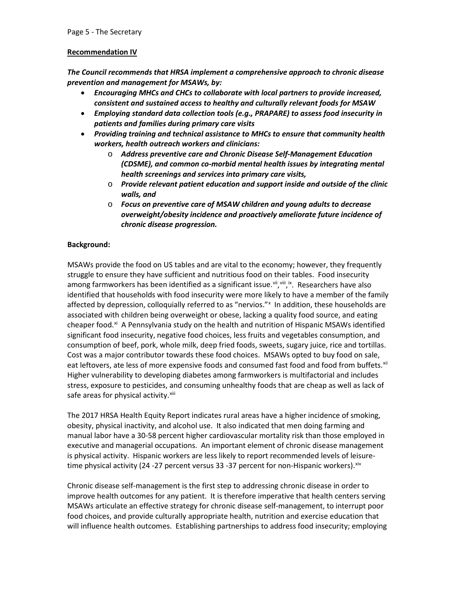## **Recommendation IV**

*The Council recommends that HRSA implement a comprehensive approach to chronic disease prevention and management for MSAWs, by:*

- *Encouraging MHCs and CHCs to collaborate with local partners to provide increased, consistent and sustained access to healthy and culturally relevant foods for MSAW*
- *Employing standard data collection tools (e.g., PRAPARE) to assess food insecurity in patients and families during primary care visits*
- *Providing training and technical assistance to MHCs to ensure that community health workers, health outreach workers and clinicians:*
	- o *Address preventive care and Chronic Disease Self-Management Education (CDSME), and common co-morbid mental health issues by integrating mental health screenings and services into primary care visits,*
	- o *Provide relevant patient education and support inside and outside of the clinic walls, and*
	- o *Focus on preventive care of MSAW children and young adults to decrease overweight/obesity incidence and proactively ameliorate future incidence of chronic disease progression.*

# **Background:**

MSAWs provide the food on US tables and are vital to the economy; however, they frequently struggle to ensure they have sufficient and nutritious food on their tables. Food insecurity among farmworkers has been identified as a significant issue. [vii](#page-1-6), [viii](#page-1-7), [ix](#page-1-8). Researchers have also identified that households with food insecurity were more likely to have a member of the family affected by depression, colloquially referred to as "nervios." In addition, these households are associated with children being overweight or obese, lacking a quality food source, and eating cheaper food.<sup>[xi](#page-1-10)</sup> A Pennsylvania study on the health and nutrition of Hispanic MSAWs identified significant food insecurity, negative food choices, less fruits and vegetables consumption, and consumption of beef, pork, whole milk, deep fried foods, sweets, sugary juice, rice and tortillas. Cost was a major contributor towards these food choices. MSAWs opted to buy food on sale, eat leftovers, ate less of more expensive foods and consumed fast food and food from buffets.<sup>xii</sup> Higher vulnerability to developing diabetes among farmworkers is multifactorial and includes stress, exposure to pesticides, and consuming unhealthy foods that are cheap as well as lack of safe areas for physical activity. Xiii

The 2017 HRSA Health Equity Report indicates rural areas have a higher incidence of smoking, obesity, physical inactivity, and alcohol use. It also indicated that men doing farming and manual labor have a 30-58 percent higher cardiovascular mortality risk than those employed in executive and managerial occupations. An important element of chronic disease management is physical activity. Hispanic workers are less likely to report recommended levels of leisuretime physical activity (24 -27 percent versus 33 -37 percent for non-Hispanic workers). $x^{iv}$ 

Chronic disease self-management is the first step to addressing chronic disease in order to improve health outcomes for any patient. It is therefore imperative that health centers serving MSAWs articulate an effective strategy for chronic disease self-management, to interrupt poor food choices, and provide culturally appropriate health, nutrition and exercise education that will influence health outcomes. Establishing partnerships to address food insecurity; employing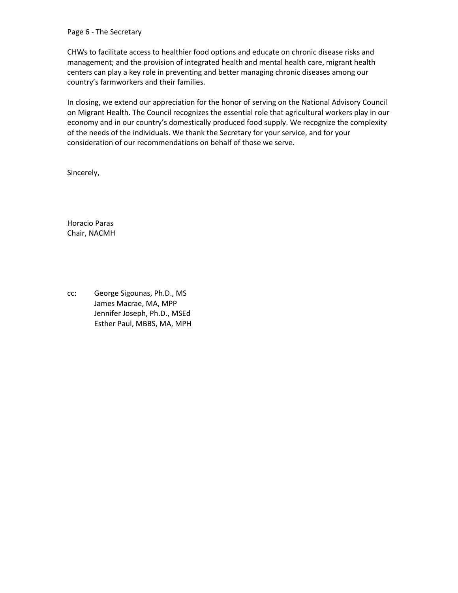#### Page 6 - The Secretary

CHWs to facilitate access to healthier food options and educate on chronic disease risks and management; and the provision of integrated health and mental health care, migrant health centers can play a key role in preventing and better managing chronic diseases among our country's farmworkers and their families.

In closing, we extend our appreciation for the honor of serving on the National Advisory Council on Migrant Health. The Council recognizes the essential role that agricultural workers play in our economy and in our country's domestically produced food supply. We recognize the complexity of the needs of the individuals. We thank the Secretary for your service, and for your consideration of our recommendations on behalf of those we serve.

Sincerely,

Horacio Paras Chair, NACMH

cc: George Sigounas, Ph.D., MS James Macrae, MA, MPP Jennifer Joseph, Ph.D., MSEd Esther Paul, MBBS, MA, MPH